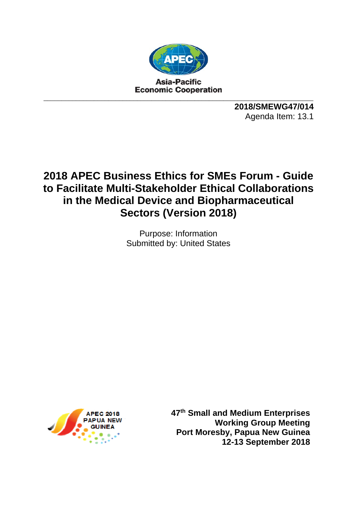

**2018/SMEWG47/014**  Agenda Item: 13.1

# **2018 APEC Business Ethics for SMEs Forum - Guide to Facilitate Multi-Stakeholder Ethical Collaborations in the Medical Device and Biopharmaceutical Sectors (Version 2018)**

Purpose: Information Submitted by: United States



**47th Small and Medium Enterprises Working Group Meeting Port Moresby, Papua New Guinea 12-13 September 2018**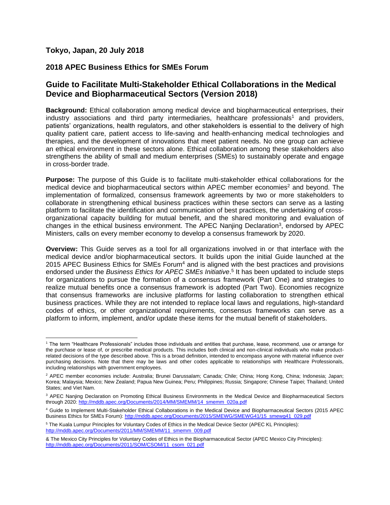## **Tokyo, Japan, 20 July 2018**

 $\overline{a}$ 

## **2018 APEC Business Ethics for SMEs Forum**

# **Guide to Facilitate Multi-Stakeholder Ethical Collaborations in the Medical Device and Biopharmaceutical Sectors (Version 2018)**

**Background:** Ethical collaboration among medical device and biopharmaceutical enterprises, their industry associations and third party intermediaries, healthcare professionals<sup>1</sup> and providers, patients' organizations, health regulators, and other stakeholders is essential to the delivery of high quality patient care, patient access to life-saving and health-enhancing medical technologies and therapies, and the development of innovations that meet patient needs. No one group can achieve an ethical environment in these sectors alone. Ethical collaboration among these stakeholders also strengthens the ability of small and medium enterprises (SMEs) to sustainably operate and engage in cross-border trade.

**Purpose:** The purpose of this Guide is to facilitate multi-stakeholder ethical collaborations for the medical device and biopharmaceutical sectors within APEC member economies<sup>2</sup> and beyond. The implementation of formalized, consensus framework agreements by two or more stakeholders to collaborate in strengthening ethical business practices within these sectors can serve as a lasting platform to facilitate the identification and communication of best practices, the undertaking of crossorganizational capacity building for mutual benefit, and the shared monitoring and evaluation of changes in the ethical business environment. The APEC Nanjing Declaration<sup>3</sup>, endorsed by APEC Ministers, calls on every member economy to develop a consensus framework by 2020.

**Overview:** This Guide serves as a tool for all organizations involved in or that interface with the medical device and/or biopharmaceutical sectors. It builds upon the initial Guide launched at the 2015 APEC Business Ethics for SMEs Forum<sup>4</sup> and is aligned with the best practices and provisions endorsed under the *Business Ethics for APEC SMEs Initiative*. 5 It has been updated to include steps for organizations to pursue the formation of a consensus framework (Part One) and strategies to realize mutual benefits once a consensus framework is adopted (Part Two). Economies recognize that consensus frameworks are inclusive platforms for lasting collaboration to strengthen ethical business practices. While they are not intended to replace local laws and regulations, high-standard codes of ethics, or other organizational requirements, consensus frameworks can serve as a platform to inform, implement, and/or update these items for the mutual benefit of stakeholders.

<sup>1</sup> The term "Healthcare Professionals" includes those individuals and entities that purchase, lease, recommend, use or arrange for the purchase or lease of, or prescribe medical products. This includes both clinical and non-clinical individuals who make productrelated decisions of the type described above. This is a broad definition, intended to encompass anyone with material influence over purchasing decisions. Note that there may be laws and other codes applicable to relationships with Healthcare Professionals, including relationships with government employees.

<sup>2</sup> APEC member economies include: Australia; Brunei Darussalam; Canada; Chile; China; Hong Kong, China; Indonesia; Japan; Korea; Malaysia; Mexico; New Zealand; Papua New Guinea; Peru; Philippines; Russia; Singapore; Chinese Taipei; Thailand; United States; and Viet Nam.

<sup>&</sup>lt;sup>3</sup> APEC Nanjing Declaration on Promoting Ethical Business Environments in the Medical Device and Biopharmaceutical Sectors through 2020[: http://mddb.apec.org/Documents/2014/MM/SMEMM/14\\_smemm\\_020a.pdf](http://mddb.apec.org/Documents/2014/MM/SMEMM/14_smemm_020a.pdf)

<sup>4</sup> Guide to Implement Multi-Stakeholder Ethical Collaborations in the Medical Device and Biopharmaceutical Sectors (2015 APEC Business Ethics for SMEs Forum): [http://mddb.apec.org/Documents/2015/SMEWG/SMEWG41/15\\_smewg41\\_029.pdf](http://mddb.apec.org/Documents/2015/SMEWG/SMEWG41/15_smewg41_029.pdf)

<sup>5</sup> The Kuala Lumpur Principles for Voluntary Codes of Ethics in the Medical Device Sector (APEC KL Principles): [http://mddb.apec.org/Documents/2011/MM/SMEMM/11\\_smemm\\_009.pdf](http://mddb.apec.org/Documents/2011/MM/SMEMM/11_smemm_009.pdf)

<sup>&</sup>amp; The Mexico City Principles for Voluntary Codes of Ethics in the Biopharmaceutical Sector (APEC Mexico City Principles): [http://mddb.apec.org/Documents/2011/SOM/CSOM/11\\_csom\\_021.pdf](http://mddb.apec.org/Documents/2011/SOM/CSOM/11_csom_021.pdf)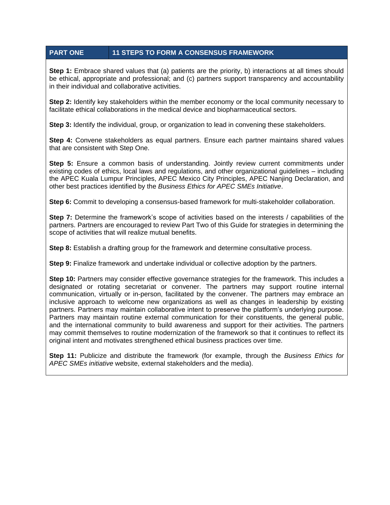## **PART ONE 11 STEPS TO FORM A CONSENSUS FRAMEWORK**

**Step 1:** Embrace shared values that (a) patients are the priority, b) interactions at all times should be ethical, appropriate and professional; and (c) partners support transparency and accountability in their individual and collaborative activities.

**Step 2:** Identify key stakeholders within the member economy or the local community necessary to facilitate ethical collaborations in the medical device and biopharmaceutical sectors.

**Step 3:** Identify the individual, group, or organization to lead in convening these stakeholders.

**Step 4:** Convene stakeholders as equal partners. Ensure each partner maintains shared values that are consistent with Step One.

**Step 5:** Ensure a common basis of understanding. Jointly review current commitments under existing codes of ethics, local laws and regulations, and other organizational guidelines – including the APEC Kuala Lumpur Principles, APEC Mexico City Principles, APEC Nanjing Declaration, and other best practices identified by the *Business Ethics for APEC SMEs Initiative*.

**Step 6:** Commit to developing a consensus-based framework for multi-stakeholder collaboration.

**Step 7:** Determine the framework's scope of activities based on the interests / capabilities of the partners. Partners are encouraged to review Part Two of this Guide for strategies in determining the scope of activities that will realize mutual benefits.

**Step 8:** Establish a drafting group for the framework and determine consultative process.

**Step 9:** Finalize framework and undertake individual or collective adoption by the partners.

**Step 10:** Partners may consider effective governance strategies for the framework. This includes a designated or rotating secretariat or convener. The partners may support routine internal communication, virtually or in-person, facilitated by the convener. The partners may embrace an inclusive approach to welcome new organizations as well as changes in leadership by existing partners. Partners may maintain collaborative intent to preserve the platform's underlying purpose. Partners may maintain routine external communication for their constituents, the general public, and the international community to build awareness and support for their activities. The partners may commit themselves to routine modernization of the framework so that it continues to reflect its original intent and motivates strengthened ethical business practices over time.

**Step 11:** Publicize and distribute the framework (for example, through the *Business Ethics for APEC SMEs initiative* website, external stakeholders and the media).